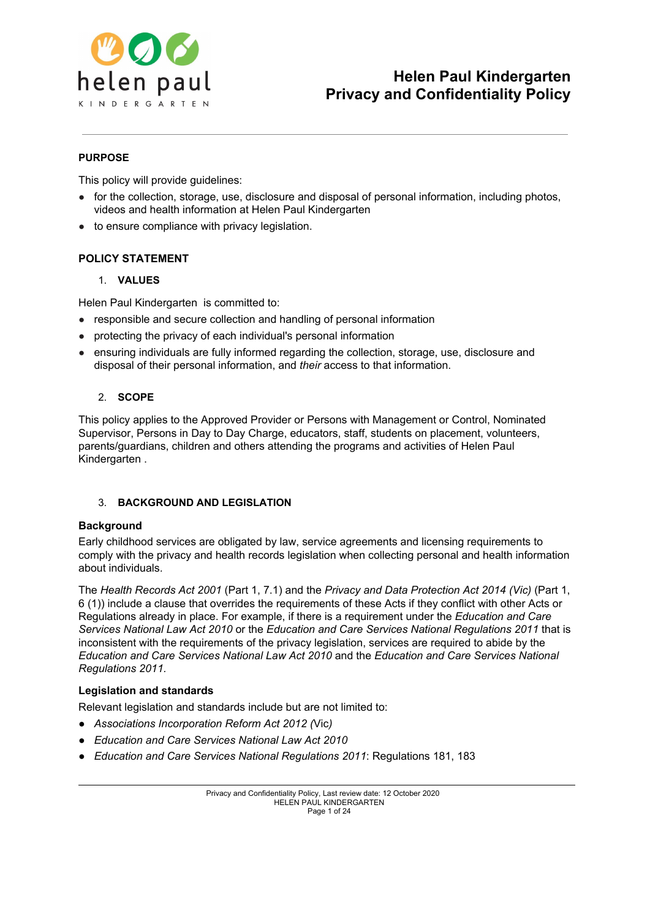

## **PURPOSE**

This policy will provide guidelines:

- for the collection, storage, use, disclosure and disposal of personal information, including photos, videos and health information at Helen Paul Kindergarten
- to ensure compliance with privacy legislation.

## **POLICY STATEMENT**

## 1. **VALUES**

Helen Paul Kindergarten is committed to:

- responsible and secure collection and handling of personal information
- protecting the privacy of each individual's personal information
- ensuring individuals are fully informed regarding the collection, storage, use, disclosure and disposal of their personal information, and *their* access to that information.

## 2. **SCOPE**

This policy applies to the Approved Provider or Persons with Management or Control, Nominated Supervisor, Persons in Day to Day Charge, educators, staff, students on placement, volunteers, parents/guardians, children and others attending the programs and activities of Helen Paul Kindergarten .

## 3. **BACKGROUND AND LEGISLATION**

## **Background**

Early childhood services are obligated by law, service agreements and licensing requirements to comply with the privacy and health records legislation when collecting personal and health information about individuals.

The *Health Records Act 2001* (Part 1, 7.1) and the *Privacy and Data Protection Act 2014 (Vic)* (Part 1, 6 (1)) include a clause that overrides the requirements of these Acts if they conflict with other Acts or Regulations already in place. For example, if there is a requirement under the *Education and Care Services National Law Act 2010* or the *Education and Care Services National Regulations 2011* that is inconsistent with the requirements of the privacy legislation, services are required to abide by the *Education and Care Services National Law Act 2010* and the *Education and Care Services National Regulations 2011.*

## **Legislation and standards**

Relevant legislation and standards include but are not limited to:

- *● Associations Incorporation Reform Act 2012 (*Vic*)*
- *● Education and Care Services National Law Act 2010*
- *● Education and Care Services National Regulations 2011*: Regulations 181, 183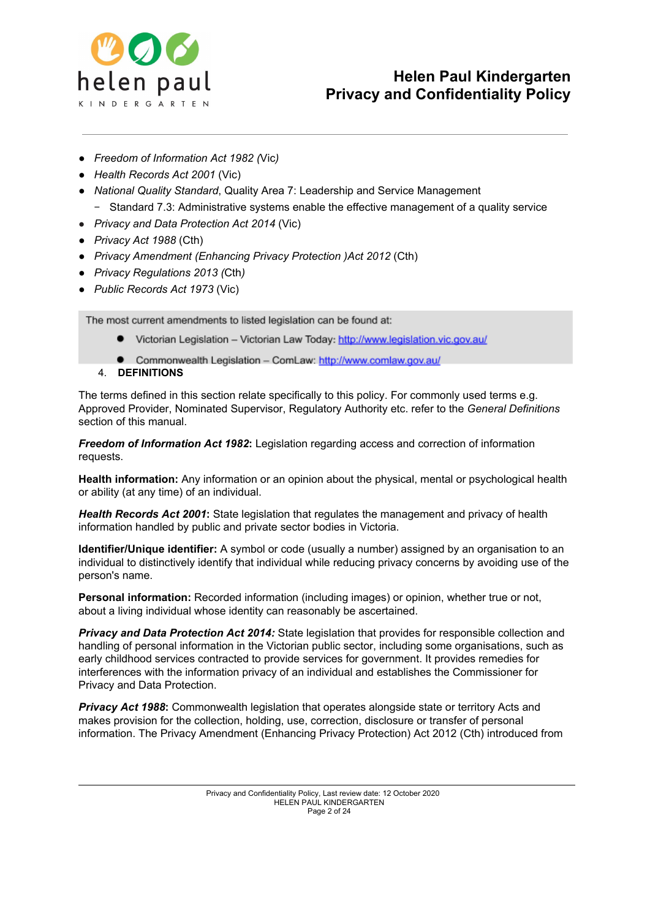

- *● Freedom of Information Act 1982 (*Vic*)*
- *● Health Records Act 2001* (Vic)
- *● National Quality Standard*, Quality Area 7: Leadership and Service Management Standard 7.3: Administrative systems enable the effective management of a quality service
- *Privacy and Data Protection Act 2014* (Vic)
- *● Privacy Act 1988* (Cth)
- *● Privacy Amendment (Enhancing Privacy Protection )Act 2012* (Cth)
- *● Privacy Regulations 2013 (*Cth*)*
- *● Public Records Act 1973* (Vic)

The most current amendments to listed legislation can be found at:

- Victorian Legislation Victorian Law Today: http://www.legislation.vic.gov.au/
- Commonwealth Legislation ComLaw: http://www.comlaw.gov.au/
- 4. **DEFINITIONS**

The terms defined in this section relate specifically to this policy. For commonly used terms e.g. Approved Provider, Nominated Supervisor, Regulatory Authority etc. refer to the *General Definitions* section of this manual.

*Freedom of Information Act 1982***:** Legislation regarding access and correction of information requests.

**Health information:** Any information or an opinion about the physical, mental or psychological health or ability (at any time) of an individual.

*Health Records Act 2001***:** State legislation that regulates the management and privacy of health information handled by public and private sector bodies in Victoria.

**Identifier/Unique identifier:** A symbol or code (usually a number) assigned by an organisation to an individual to distinctively identify that individual while reducing privacy concerns by avoiding use of the person's name.

**Personal information:** Recorded information (including images) or opinion, whether true or not, about a living individual whose identity can reasonably be ascertained.

*Privacy and Data Protection Act 2014:* State legislation that provides for responsible collection and handling of personal information in the Victorian public sector, including some organisations, such as early childhood services contracted to provide services for government. It provides remedies for interferences with the information privacy of an individual and establishes the Commissioner for Privacy and Data Protection.

*Privacy Act 1988***:** Commonwealth legislation that operates alongside state or territory Acts and makes provision for the collection, holding, use, correction, disclosure or transfer of personal information. The Privacy Amendment (Enhancing Privacy Protection) Act 2012 (Cth) introduced from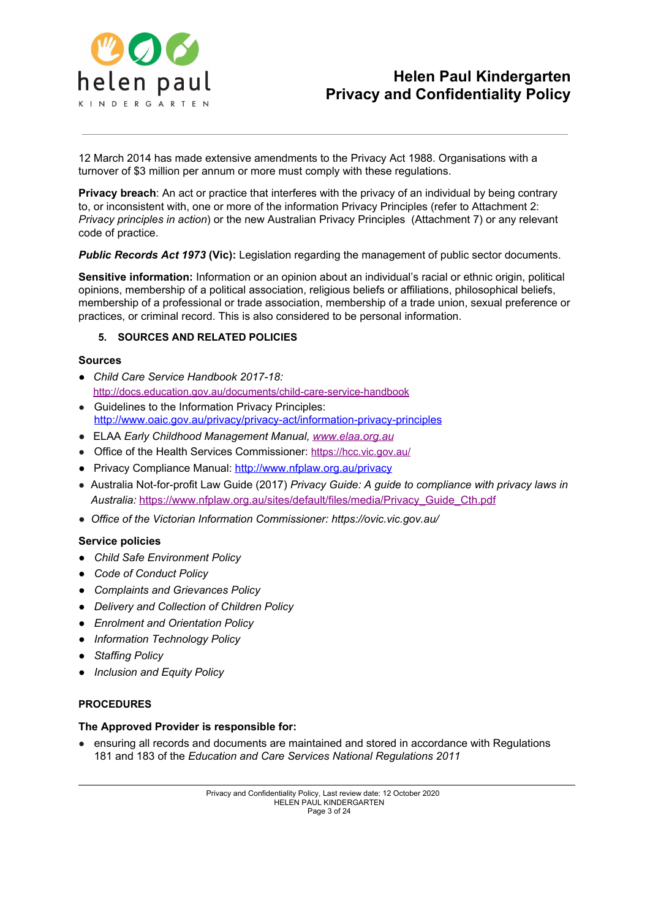

12 March 2014 has made extensive amendments to the Privacy Act 1988. Organisations with a turnover of \$3 million per annum or more must comply with these regulations.

**Privacy breach**: An act or practice that interferes with the privacy of an individual by being contrary to, or inconsistent with, one or more of the information Privacy Principles (refer to Attachment 2: *Privacy principles in action*) or the new Australian Privacy Principles (Attachment 7) or any relevant code of practice.

*Public Records Act 1973* **(Vic):** Legislation regarding the management of public sector documents.

**Sensitive information:** Information or an opinion about an individual's racial or ethnic origin, political opinions, membership of a political association, religious beliefs or affiliations, philosophical beliefs, membership of a professional or trade association, membership of a trade union, sexual preference or practices, or criminal record. This is also considered to be personal information.

#### **5. SOURCES AND RELATED POLICIES**

#### **Sources**

- *● Child Care Service Handbook 2017-18:* <http://docs.education.gov.au/documents/child-care-service-handbook>
- Guidelines to the Information Privacy Principles: <http://www.oaic.gov.au/privacy/privacy-act/information-privacy-principles>
- ELAA *Early Childhood Management Manual, [www.elaa.org.au](http://www.elaa.org.au/)*
- Office of the Health Services Commissioner: <https://hcc.vic.gov.au/>
- Privacy Compliance Manual: <http://www.nfplaw.org.au/privacy>
- Australia Not-for-profit Law Guide (2017) *Privacy Guide: A guide to compliance with privacy laws in Australia:* [https://www.nfplaw.org.au/sites/default/files/media/Privacy\\_Guide\\_Cth.pdf](https://www.nfplaw.org.au/sites/default/files/media/Privacy_Guide_Cth.pdf)
- *● Office of the Victorian Information Commissioner: <https://ovic.vic.gov.au/>*

#### **Service policies**

- *● Child Safe Environment Policy*
- *● Code of Conduct Policy*
- *● Complaints and Grievances Policy*
- *● Delivery and Collection of Children Policy*
- *● Enrolment and Orientation Policy*
- *● Information Technology Policy*
- *● Staffing Policy*
- *● Inclusion and Equity Policy*

#### **PROCEDURES**

#### **The Approved Provider is responsible for:**

● ensuring all records and documents are maintained and stored in accordance with Regulations 181 and 183 of the *Education and Care Services National Regulations 2011*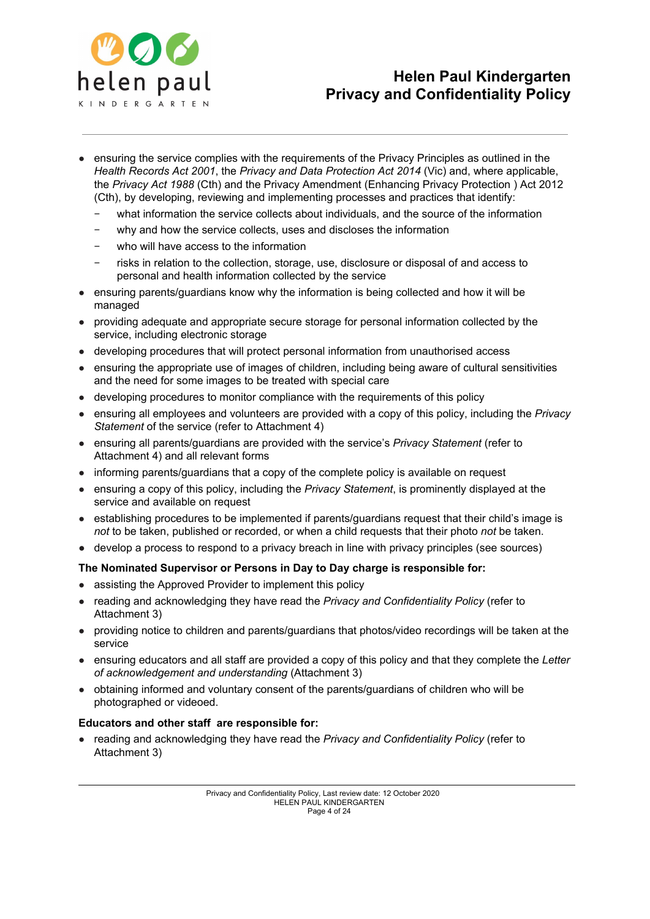

- ensuring the service complies with the requirements of the Privacy Principles as outlined in the *Health Records Act 2001*, the *Privacy and Data Protection Act 2014* (Vic) and, where applicable, the *Privacy Act 1988* (Cth) and the Privacy Amendment (Enhancing Privacy Protection ) Act 2012 (Cth), by developing, reviewing and implementing processes and practices that identify:
	- − what information the service collects about individuals, and the source of the information
	- why and how the service collects, uses and discloses the information
	- who will have access to the information
	- − risks in relation to the collection, storage, use, disclosure or disposal of and access to personal and health information collected by the service
- ensuring parents/guardians know why the information is being collected and how it will be managed
- providing adequate and appropriate secure storage for personal information collected by the service, including electronic storage
- developing procedures that will protect personal information from unauthorised access
- ensuring the appropriate use of images of children, including being aware of cultural sensitivities and the need for some images to be treated with special care
- developing procedures to monitor compliance with the requirements of this policy
- ensuring all employees and volunteers are provided with a copy of this policy, including the *Privacy Statement* of the service (refer to Attachment 4)
- ensuring all parents/guardians are provided with the service's *Privacy Statement* (refer to Attachment 4) and all relevant forms
- informing parents/guardians that a copy of the complete policy is available on request
- ensuring a copy of this policy, including the *Privacy Statement*, is prominently displayed at the service and available on request
- establishing procedures to be implemented if parents/guardians request that their child's image is *not* to be taken, published or recorded, or when a child requests that their photo *not* be taken.
- develop a process to respond to a privacy breach in line with privacy principles (see sources)

## **The Nominated Supervisor or Persons in Day to Day charge is responsible for:**

- assisting the Approved Provider to implement this policy
- reading and acknowledging they have read the *Privacy and Confidentiality Policy* (refer to Attachment 3)
- providing notice to children and parents/guardians that photos/video recordings will be taken at the service
- ensuring educators and all staff are provided a copy of this policy and that they complete the *Letter of acknowledgement and understanding* (Attachment 3)
- obtaining informed and voluntary consent of the parents/guardians of children who will be photographed or videoed.

## **Educators and other staff are responsible for:**

● reading and acknowledging they have read the *Privacy and Confidentiality Policy* (refer to Attachment 3)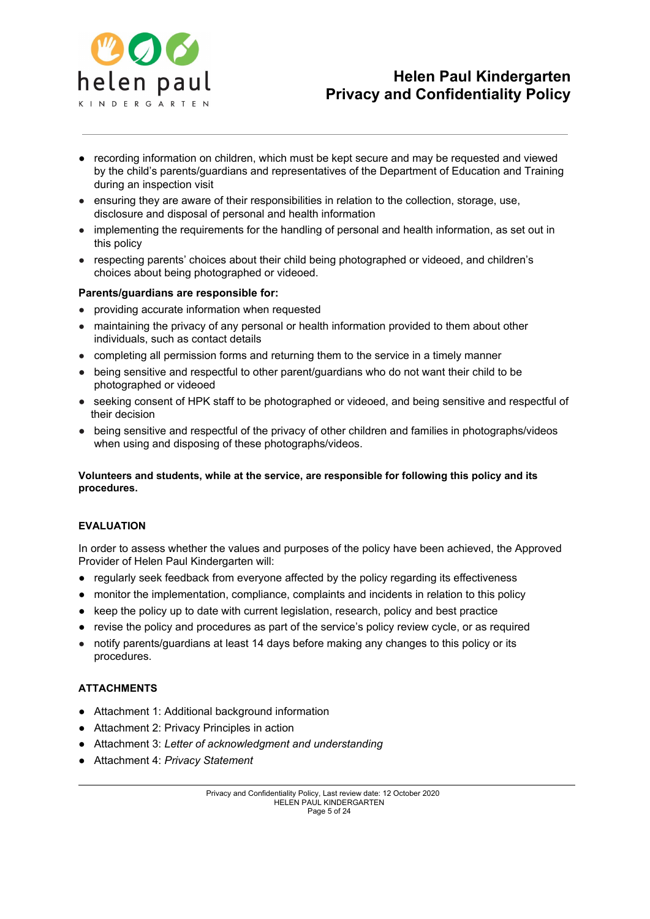

- **●** recording information on children, which must be kept secure and may be requested and viewed by the child's parents/guardians and representatives of the Department of Education and Training during an inspection visit
- ensuring they are aware of their responsibilities in relation to the collection, storage, use, disclosure and disposal of personal and health information
- implementing the requirements for the handling of personal and health information, as set out in this policy
- respecting parents' choices about their child being photographed or videoed, and children's choices about being photographed or videoed.

## **Parents/guardians are responsible for:**

- providing accurate information when requested
- maintaining the privacy of any personal or health information provided to them about other individuals, such as contact details
- completing all permission forms and returning them to the service in a timely manner
- being sensitive and respectful to other parent/guardians who do not want their child to be photographed or videoed
- seeking consent of HPK staff to be photographed or videoed, and being sensitive and respectful of their decision
- being sensitive and respectful of the privacy of other children and families in photographs/videos when using and disposing of these photographs/videos.

**Volunteers and students, while at the service, are responsible for following this policy and its procedures.**

#### **EVALUATION**

In order to assess whether the values and purposes of the policy have been achieved, the Approved Provider of Helen Paul Kindergarten will:

- regularly seek feedback from everyone affected by the policy regarding its effectiveness
- monitor the implementation, compliance, complaints and incidents in relation to this policy
- keep the policy up to date with current legislation, research, policy and best practice
- **●** revise the policy and procedures as part of the service's policy review cycle, or as required
- notify parents/guardians at least 14 days before making any changes to this policy or its procedures.

## **ATTACHMENTS**

- **●** Attachment 1: Additional background information
- **●** Attachment 2: Privacy Principles in action
- **●** Attachment 3: *Letter of acknowledgment and understanding*
- **●** Attachment 4: *Privacy Statement*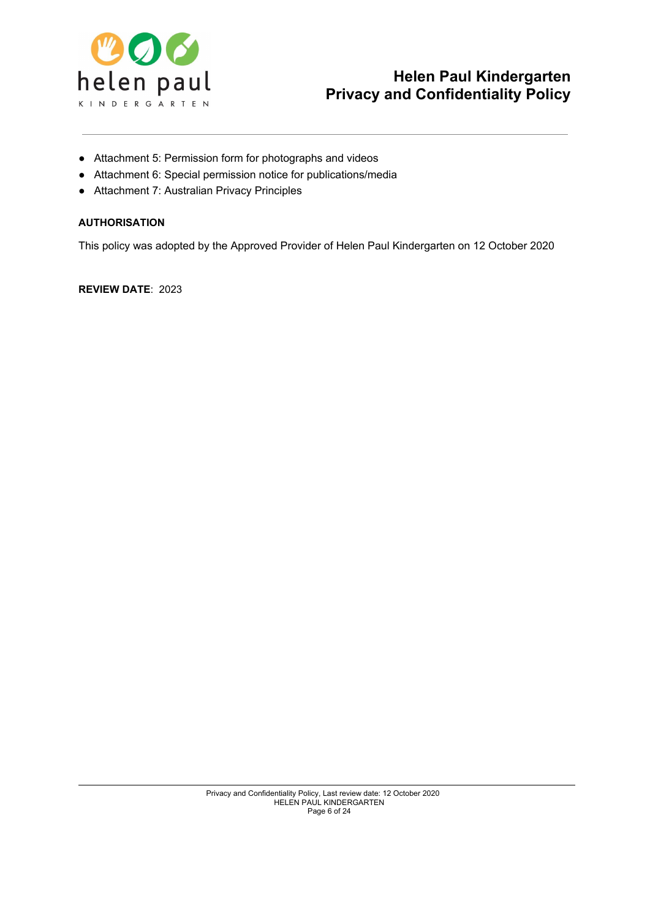

- **●** Attachment 5: Permission form for photographs and videos
- **●** Attachment 6: Special permission notice for publications/media
- **●** Attachment 7: Australian Privacy Principles

## **AUTHORISATION**

This policy was adopted by the Approved Provider of Helen Paul Kindergarten on 12 October 2020

**REVIEW DATE**: 2023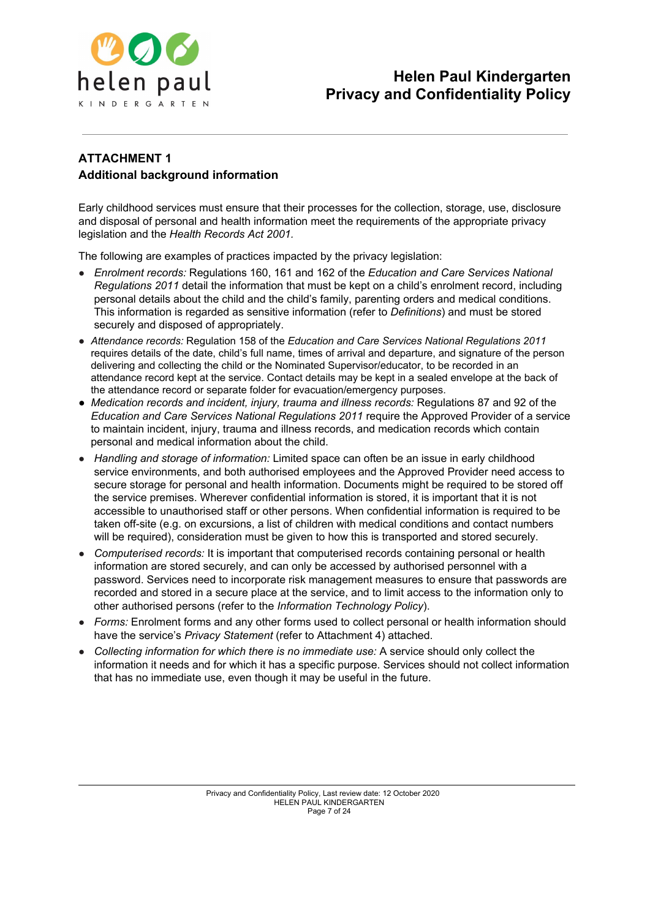

## **ATTACHMENT 1 Additional background information**

Early childhood services must ensure that their processes for the collection, storage, use, disclosure and disposal of personal and health information meet the requirements of the appropriate privacy legislation and the *Health Records Act 2001.*

The following are examples of practices impacted by the privacy legislation:

- *Enrolment records:* Regulations 160, 161 and 162 of the *Education and Care Services National Regulations 2011* detail the information that must be kept on a child's enrolment record, including personal details about the child and the child's family, parenting orders and medical conditions. This information is regarded as sensitive information (refer to *Definitions*) and must be stored securely and disposed of appropriately.
- *Attendance records:* Regulation 158 of the *Education and Care Services National Regulations 2011* requires details of the date, child's full name, times of arrival and departure, and signature of the person delivering and collecting the child or the Nominated Supervisor/educator, to be recorded in an attendance record kept at the service. Contact details may be kept in a sealed envelope at the back of the attendance record or separate folder for evacuation/emergency purposes.
- *Medication records and incident, injury, trauma and illness records:* Regulations 87 and 92 of the *Education and Care Services National Regulations 2011* require the Approved Provider of a service to maintain incident, injury, trauma and illness records, and medication records which contain personal and medical information about the child.
- *Handling and storage of information:* Limited space can often be an issue in early childhood service environments, and both authorised employees and the Approved Provider need access to secure storage for personal and health information. Documents might be required to be stored off the service premises. Wherever confidential information is stored, it is important that it is not accessible to unauthorised staff or other persons. When confidential information is required to be taken off-site (e.g. on excursions, a list of children with medical conditions and contact numbers will be required), consideration must be given to how this is transported and stored securely.
- *Computerised records:* It is important that computerised records containing personal or health information are stored securely, and can only be accessed by authorised personnel with a password. Services need to incorporate risk management measures to ensure that passwords are recorded and stored in a secure place at the service, and to limit access to the information only to other authorised persons (refer to the *Information Technology Policy*).
- *Forms:* Enrolment forms and any other forms used to collect personal or health information should have the service's *Privacy Statement* (refer to Attachment 4) attached.
- *Collecting information for which there is no immediate use:* A service should only collect the information it needs and for which it has a specific purpose. Services should not collect information that has no immediate use, even though it may be useful in the future.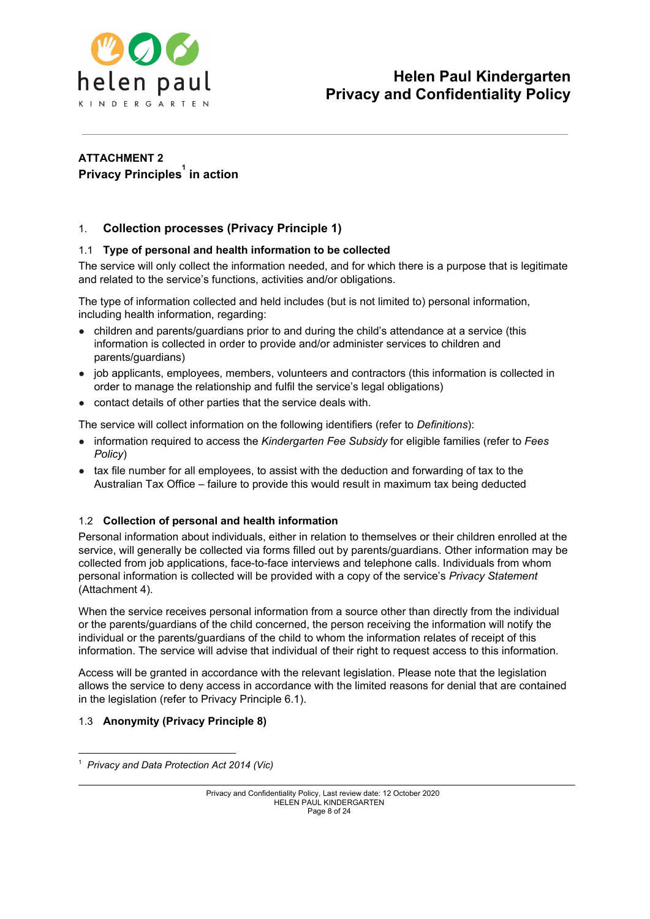

## **ATTACHMENT 2 Privacy Principles in action 1**

## 1. **Collection processes (Privacy Principle 1)**

## 1.1 **Type of personal and health information to be collected**

The service will only collect the information needed, and for which there is a purpose that is legitimate and related to the service's functions, activities and/or obligations.

The type of information collected and held includes (but is not limited to) personal information, including health information, regarding:

- children and parents/guardians prior to and during the child's attendance at a service (this information is collected in order to provide and/or administer services to children and parents/guardians)
- job applicants, employees, members, volunteers and contractors (this information is collected in order to manage the relationship and fulfil the service's legal obligations)
- contact details of other parties that the service deals with.

The service will collect information on the following identifiers (refer to *Definitions*):

- information required to access the *Kindergarten Fee Subsidy* for eligible families (refer to *Fees Policy*)
- tax file number for all employees, to assist with the deduction and forwarding of tax to the Australian Tax Office – failure to provide this would result in maximum tax being deducted

## 1.2 **Collection of personal and health information**

Personal information about individuals, either in relation to themselves or their children enrolled at the service, will generally be collected via forms filled out by parents/guardians. Other information may be collected from job applications, face-to-face interviews and telephone calls. Individuals from whom personal information is collected will be provided with a copy of the service's *Privacy Statement* (Attachment 4).

When the service receives personal information from a source other than directly from the individual or the parents/guardians of the child concerned, the person receiving the information will notify the individual or the parents/guardians of the child to whom the information relates of receipt of this information. The service will advise that individual of their right to request access to this information.

Access will be granted in accordance with the relevant legislation. Please note that the legislation allows the service to deny access in accordance with the limited reasons for denial that are contained in the legislation (refer to Privacy Principle 6.1).

## 1.3 **Anonymity (Privacy Principle 8)**

<sup>1</sup>  *Privacy and Data Protection Act 2014 (Vic)*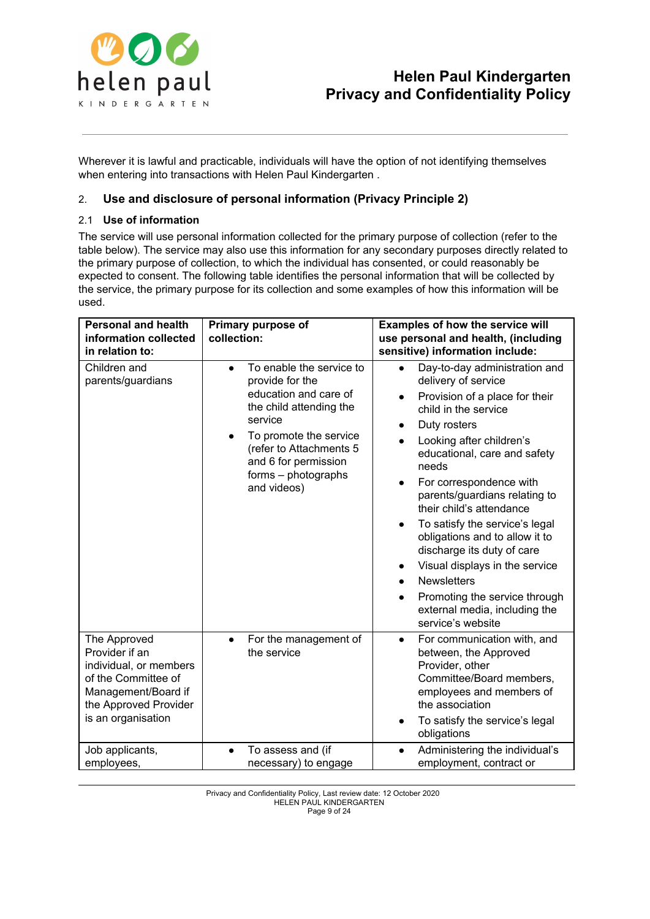

Wherever it is lawful and practicable, individuals will have the option of not identifying themselves when entering into transactions with Helen Paul Kindergarten .

## 2. **Use and disclosure of personal information (Privacy Principle 2)**

## 2.1 **Use of information**

The service will use personal information collected for the primary purpose of collection (refer to the table below). The service may also use this information for any secondary purposes directly related to the primary purpose of collection, to which the individual has consented, or could reasonably be expected to consent. The following table identifies the personal information that will be collected by the service, the primary purpose for its collection and some examples of how this information will be used.

| <b>Personal and health</b><br>information collected<br>in relation to:                                                                                | Primary purpose of<br>collection:                                                                                                                                                                                                                       | Examples of how the service will<br>use personal and health, (including<br>sensitive) information include:                                                                                                                                                                                                                                                                                                                                                                                                                                                                                                                                           |
|-------------------------------------------------------------------------------------------------------------------------------------------------------|---------------------------------------------------------------------------------------------------------------------------------------------------------------------------------------------------------------------------------------------------------|------------------------------------------------------------------------------------------------------------------------------------------------------------------------------------------------------------------------------------------------------------------------------------------------------------------------------------------------------------------------------------------------------------------------------------------------------------------------------------------------------------------------------------------------------------------------------------------------------------------------------------------------------|
| Children and<br>parents/guardians                                                                                                                     | To enable the service to<br>$\bullet$<br>provide for the<br>education and care of<br>the child attending the<br>service<br>To promote the service<br>$\bullet$<br>(refer to Attachments 5<br>and 6 for permission<br>forms - photographs<br>and videos) | Day-to-day administration and<br>$\bullet$<br>delivery of service<br>Provision of a place for their<br>$\bullet$<br>child in the service<br>Duty rosters<br>Looking after children's<br>$\bullet$<br>educational, care and safety<br>needs<br>For correspondence with<br>$\bullet$<br>parents/guardians relating to<br>their child's attendance<br>To satisfy the service's legal<br>$\bullet$<br>obligations and to allow it to<br>discharge its duty of care<br>Visual displays in the service<br>$\bullet$<br><b>Newsletters</b><br>$\bullet$<br>Promoting the service through<br>$\bullet$<br>external media, including the<br>service's website |
| The Approved<br>Provider if an<br>individual, or members<br>of the Committee of<br>Management/Board if<br>the Approved Provider<br>is an organisation | For the management of<br>$\bullet$<br>the service                                                                                                                                                                                                       | For communication with, and<br>$\bullet$<br>between, the Approved<br>Provider, other<br>Committee/Board members,<br>employees and members of<br>the association<br>To satisfy the service's legal<br>$\bullet$<br>obligations                                                                                                                                                                                                                                                                                                                                                                                                                        |
| Job applicants,<br>employees,                                                                                                                         | To assess and (if<br>$\bullet$<br>necessary) to engage                                                                                                                                                                                                  | Administering the individual's<br>$\bullet$<br>employment, contract or                                                                                                                                                                                                                                                                                                                                                                                                                                                                                                                                                                               |

Privacy and Confidentiality Policy, Last review date: 12 October 2020 HELEN PAUL KINDERGARTEN Page 9 of 24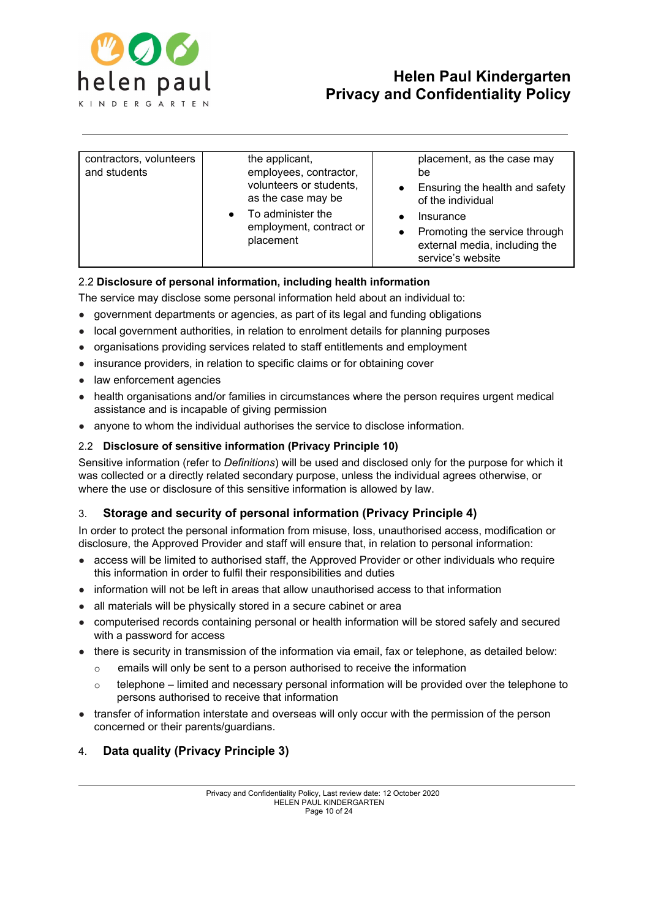

| contractors, volunteers<br>and students | the applicant,<br>employees, contractor,<br>volunteers or students,<br>as the case may be<br>To administer the<br>employment, contract or<br>placement | placement, as the case may<br>be<br>Ensuring the health and safety<br>of the individual<br>Insurance<br>Promoting the service through<br>external media, including the<br>service's website |
|-----------------------------------------|--------------------------------------------------------------------------------------------------------------------------------------------------------|---------------------------------------------------------------------------------------------------------------------------------------------------------------------------------------------|

## 2.2 **Disclosure of personal information, including health information**

The service may disclose some personal information held about an individual to:

- government departments or agencies, as part of its legal and funding obligations
- local government authorities, in relation to enrolment details for planning purposes
- organisations providing services related to staff entitlements and employment
- insurance providers, in relation to specific claims or for obtaining cover
- law enforcement agencies
- health organisations and/or families in circumstances where the person requires urgent medical assistance and is incapable of giving permission
- anyone to whom the individual authorises the service to disclose information.

## 2.2 **Disclosure of sensitive information (Privacy Principle 10)**

Sensitive information (refer to *Definitions*) will be used and disclosed only for the purpose for which it was collected or a directly related secondary purpose, unless the individual agrees otherwise, or where the use or disclosure of this sensitive information is allowed by law.

## 3. **Storage and security of personal information (Privacy Principle 4)**

In order to protect the personal information from misuse, loss, unauthorised access, modification or disclosure, the Approved Provider and staff will ensure that, in relation to personal information:

- access will be limited to authorised staff, the Approved Provider or other individuals who require this information in order to fulfil their responsibilities and duties
- information will not be left in areas that allow unauthorised access to that information
- all materials will be physically stored in a secure cabinet or area
- computerised records containing personal or health information will be stored safely and secured with a password for access
- there is security in transmission of the information via email, fax or telephone, as detailed below:
	- o emails will only be sent to a person authorised to receive the information
	- $\circ$  telephone limited and necessary personal information will be provided over the telephone to persons authorised to receive that information
- transfer of information interstate and overseas will only occur with the permission of the person concerned or their parents/guardians.

## 4. **Data quality (Privacy Principle 3)**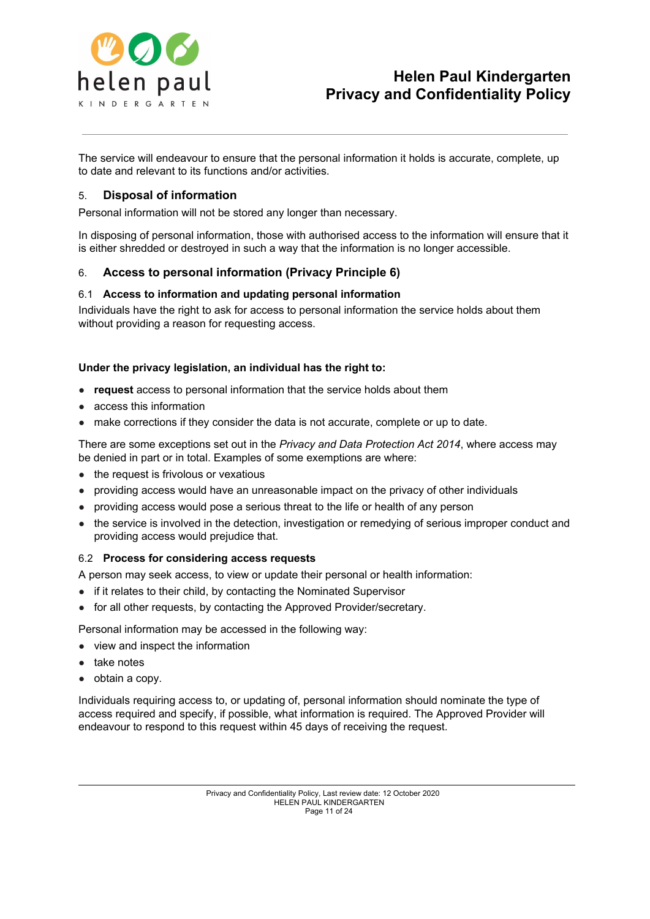

The service will endeavour to ensure that the personal information it holds is accurate, complete, up to date and relevant to its functions and/or activities.

## 5. **Disposal of information**

Personal information will not be stored any longer than necessary.

In disposing of personal information, those with authorised access to the information will ensure that it is either shredded or destroyed in such a way that the information is no longer accessible.

## 6. **Access to personal information (Privacy Principle 6)**

#### 6.1 **Access to information and updating personal information**

Individuals have the right to ask for access to personal information the service holds about them without providing a reason for requesting access.

#### **Under the privacy legislation, an individual has the right to:**

- **request** access to personal information that the service holds about them
- access this information
- make corrections if they consider the data is not accurate, complete or up to date.

There are some exceptions set out in the *Privacy and Data Protection Act 2014*, where access may be denied in part or in total. Examples of some exemptions are where:

- the request is frivolous or vexatious
- providing access would have an unreasonable impact on the privacy of other individuals
- providing access would pose a serious threat to the life or health of any person
- the service is involved in the detection, investigation or remedying of serious improper conduct and providing access would prejudice that.

#### 6.2 **Process for considering access requests**

A person may seek access, to view or update their personal or health information:

- if it relates to their child, by contacting the Nominated Supervisor
- for all other requests, by contacting the Approved Provider/secretary.

Personal information may be accessed in the following way:

- view and inspect the information
- take notes
- obtain a copy.

Individuals requiring access to, or updating of, personal information should nominate the type of access required and specify, if possible, what information is required. The Approved Provider will endeavour to respond to this request within 45 days of receiving the request.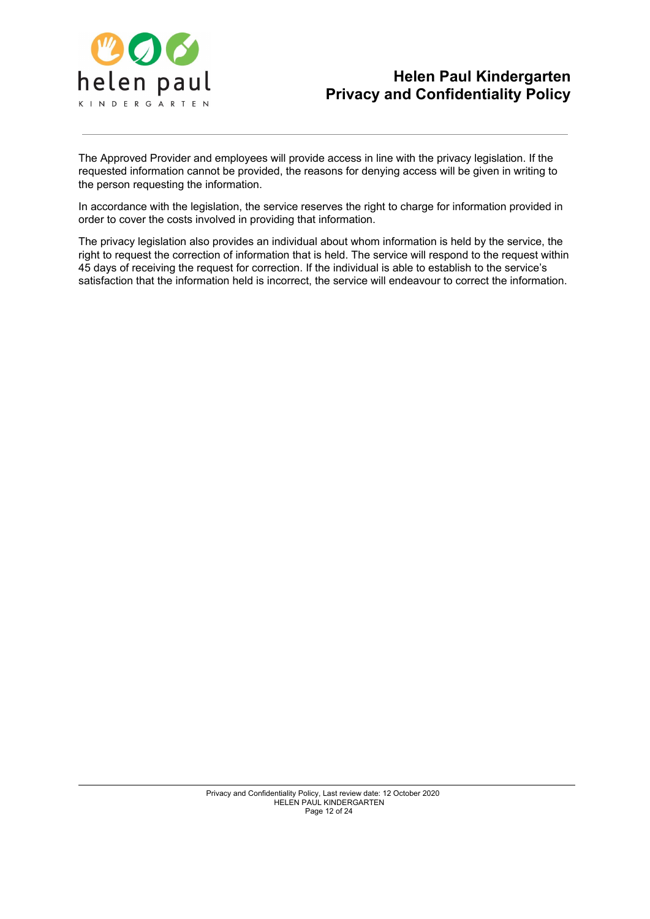

The Approved Provider and employees will provide access in line with the privacy legislation. If the requested information cannot be provided, the reasons for denying access will be given in writing to the person requesting the information.

In accordance with the legislation, the service reserves the right to charge for information provided in order to cover the costs involved in providing that information.

The privacy legislation also provides an individual about whom information is held by the service, the right to request the correction of information that is held. The service will respond to the request within 45 days of receiving the request for correction. If the individual is able to establish to the service's satisfaction that the information held is incorrect, the service will endeavour to correct the information.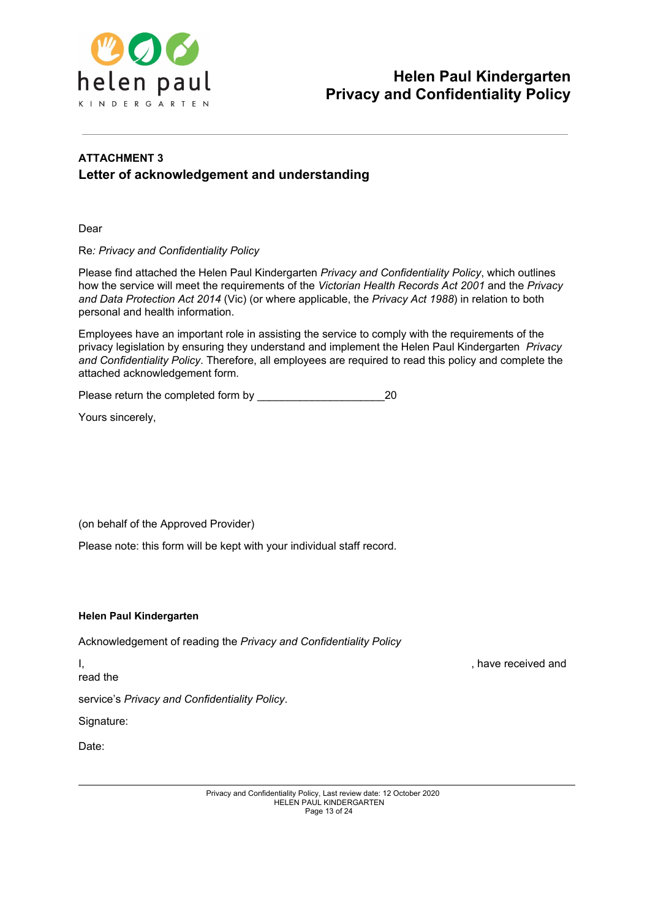

## **ATTACHMENT 3 Letter of acknowledgement and understanding**

Dear

Re*: Privacy and Confidentiality Policy*

Please find attached the Helen Paul Kindergarten *Privacy and Confidentiality Policy*, which outlines how the service will meet the requirements of the *Victorian Health Records Act 2001* and the *Privacy and Data Protection Act 2014* (Vic) (or where applicable, the *Privacy Act 1988*) in relation to both personal and health information.

Employees have an important role in assisting the service to comply with the requirements of the privacy legislation by ensuring they understand and implement the Helen Paul Kindergarten *Privacy and Confidentiality Policy*. Therefore, all employees are required to read this policy and complete the attached acknowledgement form*.*

Please return the completed form by \_\_\_\_\_\_\_\_\_\_\_\_\_\_\_\_\_\_\_\_\_20

Yours sincerely,

(on behalf of the Approved Provider)

Please note: this form will be kept with your individual staff record.

#### **Helen Paul Kindergarten**

Acknowledgement of reading the *Privacy and Confidentiality Policy*

read the

service's *Privacy and Confidentiality Policy*.

Signature:

Date:

I, the contract of the contract of the contract of the contract of the contract of the contract of the contract of the contract of the contract of the contract of the contract of the contract of the contract of the contrac

Privacy and Confidentiality Policy, Last review date: 12 October 2020 HELEN PAUL KINDERGARTEN Page 13 of 24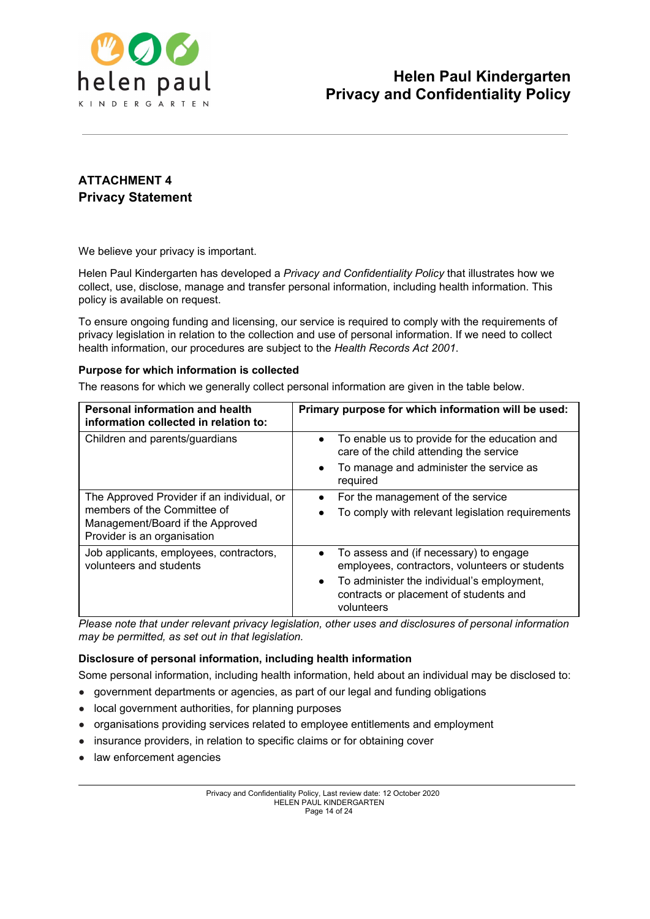

## **ATTACHMENT 4 Privacy Statement**

We believe your privacy is important.

Helen Paul Kindergarten has developed a *Privacy and Confidentiality Policy* that illustrates how we collect, use, disclose, manage and transfer personal information, including health information. This policy is available on request.

To ensure ongoing funding and licensing, our service is required to comply with the requirements of privacy legislation in relation to the collection and use of personal information. If we need to collect health information, our procedures are subject to the *Health Records Act 2001*.

## **Purpose for which information is collected**

The reasons for which we generally collect personal information are given in the table below.

| <b>Personal information and health</b><br>information collected in relation to:                                                              | Primary purpose for which information will be used:                                                                                                                                                                      |
|----------------------------------------------------------------------------------------------------------------------------------------------|--------------------------------------------------------------------------------------------------------------------------------------------------------------------------------------------------------------------------|
| Children and parents/guardians                                                                                                               | To enable us to provide for the education and<br>$\bullet$<br>care of the child attending the service                                                                                                                    |
|                                                                                                                                              | To manage and administer the service as<br>$\bullet$<br>required                                                                                                                                                         |
| The Approved Provider if an individual, or<br>members of the Committee of<br>Management/Board if the Approved<br>Provider is an organisation | For the management of the service<br>$\bullet$<br>To comply with relevant legislation requirements                                                                                                                       |
| Job applicants, employees, contractors,<br>volunteers and students                                                                           | To assess and (if necessary) to engage<br>$\bullet$<br>employees, contractors, volunteers or students<br>To administer the individual's employment,<br>$\bullet$<br>contracts or placement of students and<br>volunteers |

*Please note that under relevant privacy legislation, other uses and disclosures of personal information may be permitted, as set out in that legislation.*

## **Disclosure of personal information, including health information**

Some personal information, including health information, held about an individual may be disclosed to:

- government departments or agencies, as part of our legal and funding obligations
- local government authorities, for planning purposes
- organisations providing services related to employee entitlements and employment
- insurance providers, in relation to specific claims or for obtaining cover
- law enforcement agencies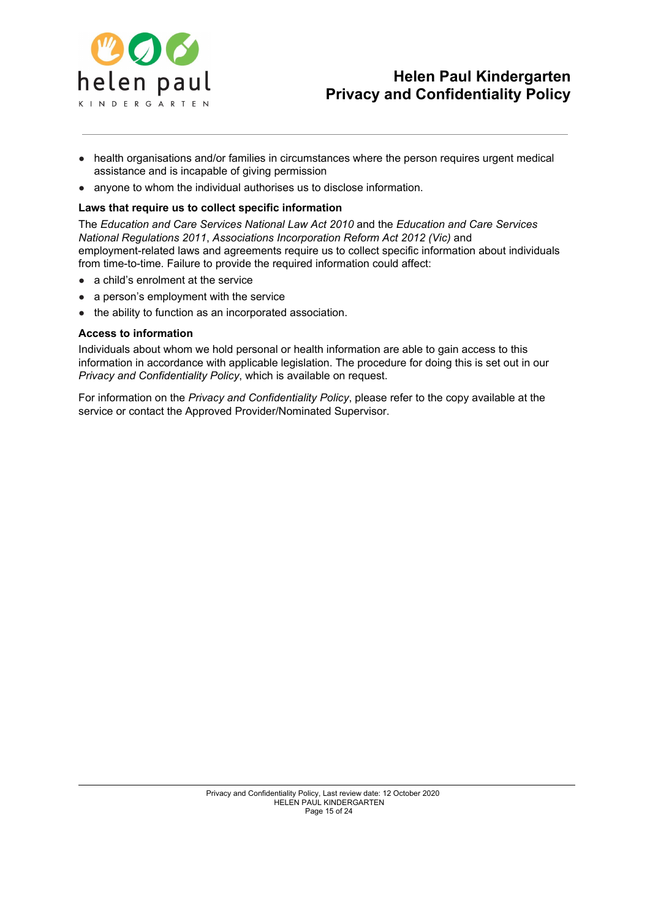

- health organisations and/or families in circumstances where the person requires urgent medical assistance and is incapable of giving permission
- anyone to whom the individual authorises us to disclose information.

### **Laws that require us to collect specific information**

The *Education and Care Services National Law Act 2010* and the *Education and Care Services National Regulations 2011*, *Associations Incorporation Reform Act 2012 (Vic)* and employment-related laws and agreements require us to collect specific information about individuals from time-to-time. Failure to provide the required information could affect:

- a child's enrolment at the service
- a person's employment with the service
- the ability to function as an incorporated association.

#### **Access to information**

Individuals about whom we hold personal or health information are able to gain access to this information in accordance with applicable legislation. The procedure for doing this is set out in our *Privacy and Confidentiality Policy*, which is available on request.

For information on the *Privacy and Confidentiality Policy*, please refer to the copy available at the service or contact the Approved Provider/Nominated Supervisor.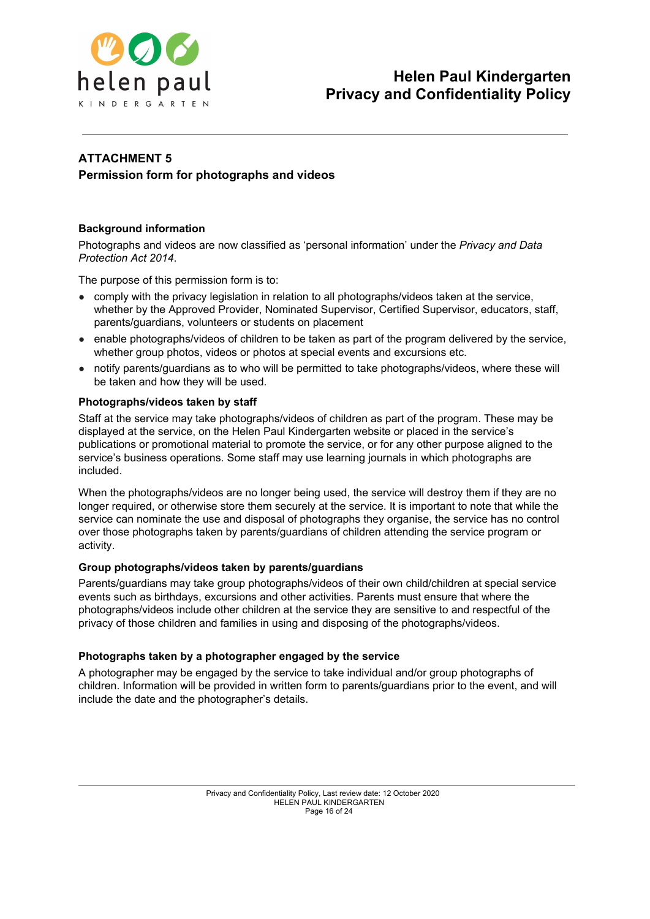

## **ATTACHMENT 5 Permission form for photographs and videos**

## **Background information**

Photographs and videos are now classified as 'personal information' under the *Privacy and Data Protection Act 2014*.

The purpose of this permission form is to:

- comply with the privacy legislation in relation to all photographs/videos taken at the service, whether by the Approved Provider, Nominated Supervisor, Certified Supervisor, educators, staff, parents/guardians, volunteers or students on placement
- enable photographs/videos of children to be taken as part of the program delivered by the service, whether group photos, videos or photos at special events and excursions etc.
- notify parents/guardians as to who will be permitted to take photographs/videos, where these will be taken and how they will be used.

## **Photographs/videos taken by staff**

Staff at the service may take photographs/videos of children as part of the program. These may be displayed at the service, on the Helen Paul Kindergarten website or placed in the service's publications or promotional material to promote the service, or for any other purpose aligned to the service's business operations. Some staff may use learning journals in which photographs are included.

When the photographs/videos are no longer being used, the service will destroy them if they are no longer required, or otherwise store them securely at the service. It is important to note that while the service can nominate the use and disposal of photographs they organise, the service has no control over those photographs taken by parents/guardians of children attending the service program or activity.

## **Group photographs/videos taken by parents/guardians**

Parents/guardians may take group photographs/videos of their own child/children at special service events such as birthdays, excursions and other activities. Parents must ensure that where the photographs/videos include other children at the service they are sensitive to and respectful of the privacy of those children and families in using and disposing of the photographs/videos.

## **Photographs taken by a photographer engaged by the service**

A photographer may be engaged by the service to take individual and/or group photographs of children. Information will be provided in written form to parents/guardians prior to the event, and will include the date and the photographer's details.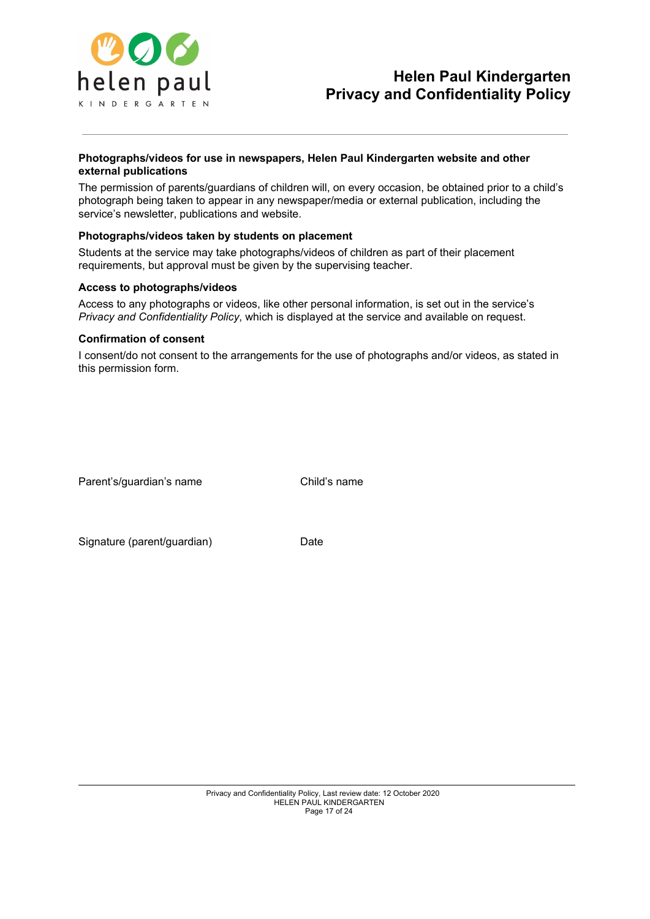

## **Photographs/videos for use in newspapers, Helen Paul Kindergarten website and other external publications**

The permission of parents/guardians of children will, on every occasion, be obtained prior to a child's photograph being taken to appear in any newspaper/media or external publication, including the service's newsletter, publications and website.

## **Photographs/videos taken by students on placement**

Students at the service may take photographs/videos of children as part of their placement requirements, but approval must be given by the supervising teacher.

#### **Access to photographs/videos**

Access to any photographs or videos, like other personal information, is set out in the service's *Privacy and Confidentiality Policy*, which is displayed at the service and available on request.

#### **Confirmation of consent**

I consent/do not consent to the arrangements for the use of photographs and/or videos, as stated in this permission form.

Parent's/guardian's name Child's name

Signature (parent/guardian) Date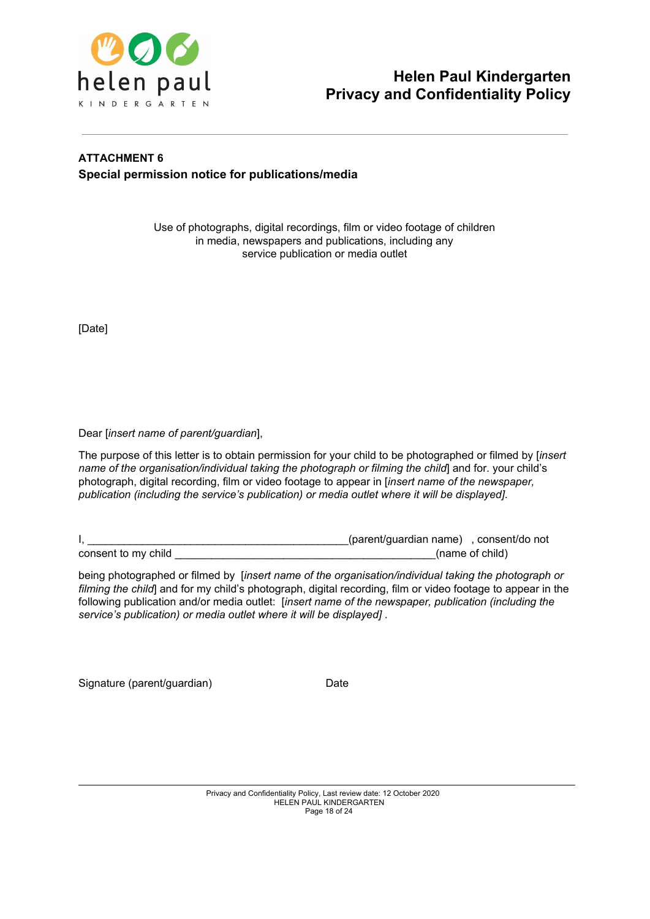

## **ATTACHMENT 6 Special permission notice for publications/media**

Use of photographs, digital recordings, film or video footage of children in media, newspapers and publications, including any service publication or media outlet

[Date]

Dear [*insert name of parent/guardian*],

The purpose of this letter is to obtain permission for your child to be photographed or filmed by [*insert name of the organisation/individual taking the photograph or filming the child*] and for. your child's photograph, digital recording, film or video footage to appear in [*insert name of the newspaper, publication (including the service's publication) or media outlet where it will be displayed]*.

|                     | (parent/guardian name), consent/do not |                 |
|---------------------|----------------------------------------|-----------------|
| consent to my child |                                        | (name of child) |

being photographed or filmed by [*insert name of the organisation/individual taking the photograph or filming the child*] and for my child's photograph, digital recording, film or video footage to appear in the following publication and/or media outlet: [*insert name of the newspaper, publication (including the service's publication) or media outlet where it will be displayed]* .

Signature (parent/guardian) Date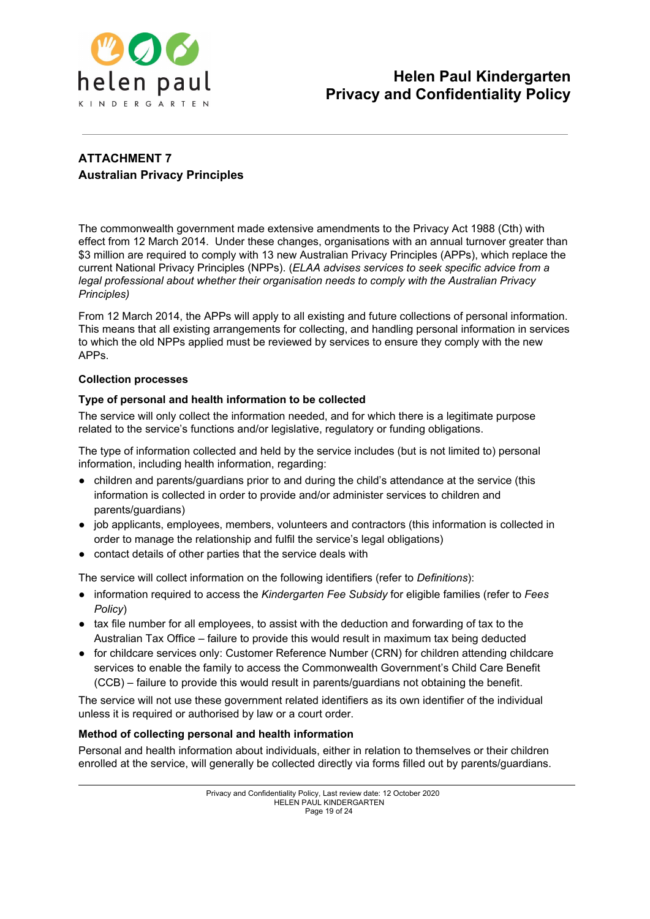

## **ATTACHMENT 7 Australian Privacy Principles**

The commonwealth government made extensive amendments to the Privacy Act 1988 (Cth) with effect from 12 March 2014. Under these changes, organisations with an annual turnover greater than \$3 million are required to comply with 13 new Australian Privacy Principles (APPs), which replace the current National Privacy Principles (NPPs). (*ELAA advises services to seek specific advice from a legal professional about whether their organisation needs to comply with the Australian Privacy Principles)*

From 12 March 2014, the APPs will apply to all existing and future collections of personal information. This means that all existing arrangements for collecting, and handling personal information in services to which the old NPPs applied must be reviewed by services to ensure they comply with the new APPs.

## **Collection processes**

## **Type of personal and health information to be collected**

The service will only collect the information needed, and for which there is a legitimate purpose related to the service's functions and/or legislative, regulatory or funding obligations.

The type of information collected and held by the service includes (but is not limited to) personal information, including health information, regarding:

- children and parents/guardians prior to and during the child's attendance at the service (this information is collected in order to provide and/or administer services to children and parents/guardians)
- job applicants, employees, members, volunteers and contractors (this information is collected in order to manage the relationship and fulfil the service's legal obligations)
- contact details of other parties that the service deals with

The service will collect information on the following identifiers (refer to *Definitions*):

- information required to access the *Kindergarten Fee Subsidy* for eligible families (refer to *Fees Policy*)
- tax file number for all employees, to assist with the deduction and forwarding of tax to the Australian Tax Office – failure to provide this would result in maximum tax being deducted
- for childcare services only: Customer Reference Number (CRN) for children attending childcare services to enable the family to access the Commonwealth Government's Child Care Benefit (CCB) – failure to provide this would result in parents/guardians not obtaining the benefit.

The service will not use these government related identifiers as its own identifier of the individual unless it is required or authorised by law or a court order.

## **Method of collecting personal and health information**

Personal and health information about individuals, either in relation to themselves or their children enrolled at the service, will generally be collected directly via forms filled out by parents/guardians.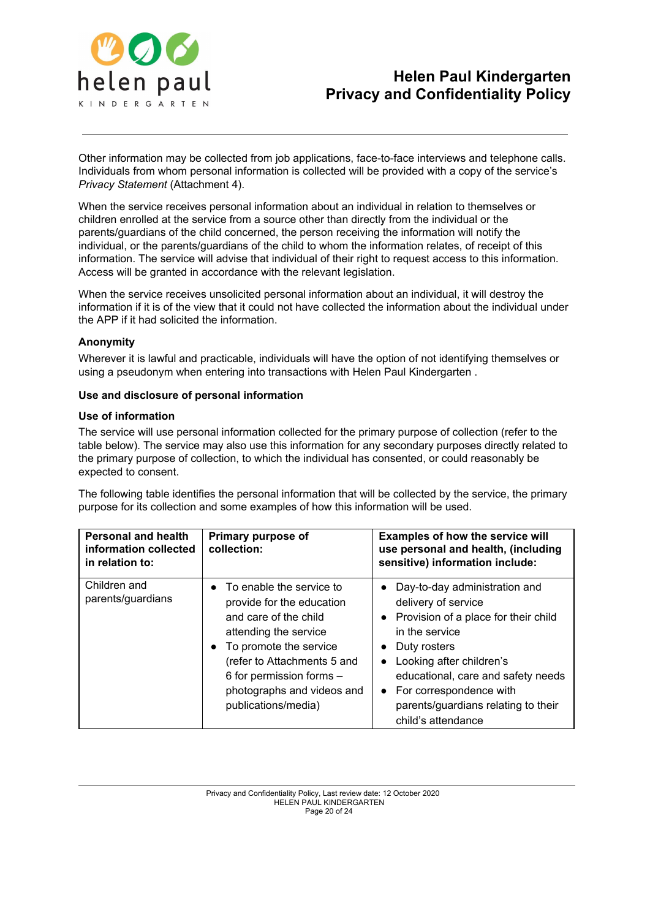

Other information may be collected from job applications, face-to-face interviews and telephone calls. Individuals from whom personal information is collected will be provided with a copy of the service's *Privacy Statement* (Attachment 4).

When the service receives personal information about an individual in relation to themselves or children enrolled at the service from a source other than directly from the individual or the parents/guardians of the child concerned, the person receiving the information will notify the individual, or the parents/guardians of the child to whom the information relates, of receipt of this information. The service will advise that individual of their right to request access to this information. Access will be granted in accordance with the relevant legislation.

When the service receives unsolicited personal information about an individual, it will destroy the information if it is of the view that it could not have collected the information about the individual under the APP if it had solicited the information.

## **Anonymity**

Wherever it is lawful and practicable, individuals will have the option of not identifying themselves or using a pseudonym when entering into transactions with Helen Paul Kindergarten .

#### **Use and disclosure of personal information**

#### **Use of information**

The service will use personal information collected for the primary purpose of collection (refer to the table below). The service may also use this information for any secondary purposes directly related to the primary purpose of collection, to which the individual has consented, or could reasonably be expected to consent.

The following table identifies the personal information that will be collected by the service, the primary purpose for its collection and some examples of how this information will be used.

| <b>Personal and health</b><br>information collected<br>in relation to: | Primary purpose of<br>collection:                                                                                                                                                                                                                             | <b>Examples of how the service will</b><br>use personal and health, (including<br>sensitive) information include:                                                                                                                                                                            |
|------------------------------------------------------------------------|---------------------------------------------------------------------------------------------------------------------------------------------------------------------------------------------------------------------------------------------------------------|----------------------------------------------------------------------------------------------------------------------------------------------------------------------------------------------------------------------------------------------------------------------------------------------|
| Children and<br>parents/guardians                                      | $\bullet$ To enable the service to<br>provide for the education<br>and care of the child<br>attending the service<br>• To promote the service<br>(refer to Attachments 5 and<br>6 for permission forms -<br>photographs and videos and<br>publications/media) | Day-to-day administration and<br>delivery of service<br>• Provision of a place for their child<br>in the service<br>Duty rosters<br>Looking after children's<br>educational, care and safety needs<br>• For correspondence with<br>parents/guardians relating to their<br>child's attendance |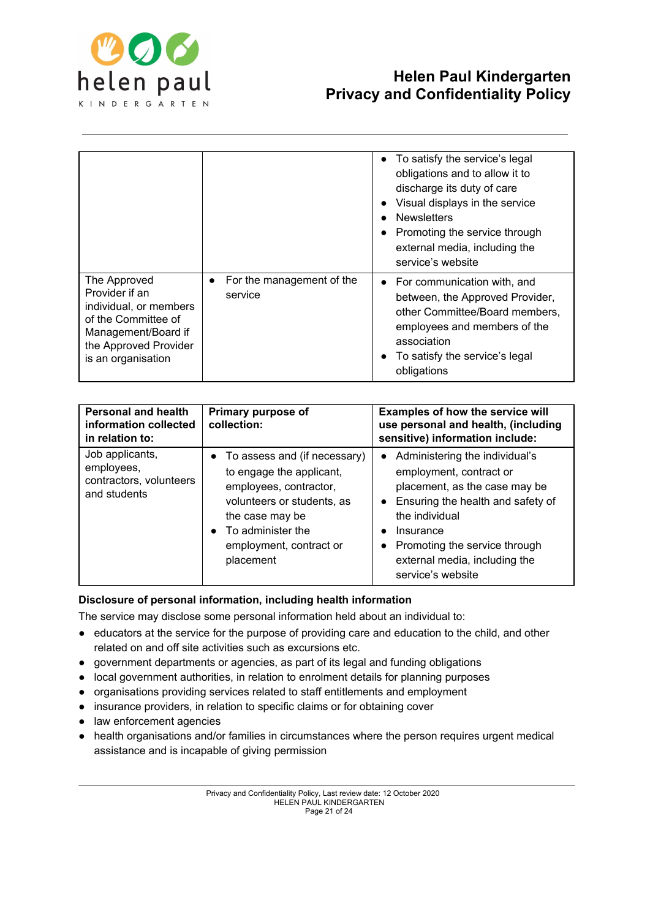

|                                                                                                                                                       |                                      | • To satisfy the service's legal<br>obligations and to allow it to<br>discharge its duty of care<br>Visual displays in the service<br><b>Newsletters</b><br>Promoting the service through<br>external media, including the<br>service's website |
|-------------------------------------------------------------------------------------------------------------------------------------------------------|--------------------------------------|-------------------------------------------------------------------------------------------------------------------------------------------------------------------------------------------------------------------------------------------------|
| The Approved<br>Provider if an<br>individual, or members<br>of the Committee of<br>Management/Board if<br>the Approved Provider<br>is an organisation | For the management of the<br>service | • For communication with, and<br>between, the Approved Provider,<br>other Committee/Board members,<br>employees and members of the<br>association<br>To satisfy the service's legal<br>obligations                                              |

| <b>Personal and health</b><br>information collected<br>in relation to:   | Primary purpose of<br>collection:                                                                                                                                                                               | Examples of how the service will<br>use personal and health, (including<br>sensitive) information include:                                                                                                                                            |
|--------------------------------------------------------------------------|-----------------------------------------------------------------------------------------------------------------------------------------------------------------------------------------------------------------|-------------------------------------------------------------------------------------------------------------------------------------------------------------------------------------------------------------------------------------------------------|
| Job applicants,<br>employees,<br>contractors, volunteers<br>and students | • To assess and (if necessary)<br>to engage the applicant,<br>employees, contractor,<br>volunteers or students, as<br>the case may be<br>To administer the<br>$\bullet$<br>employment, contract or<br>placement | Administering the individual's<br>employment, contract or<br>placement, as the case may be<br>Ensuring the health and safety of<br>the individual<br>Insurance<br>Promoting the service through<br>external media, including the<br>service's website |

## **Disclosure of personal information, including health information**

The service may disclose some personal information held about an individual to:

- educators at the service for the purpose of providing care and education to the child, and other related on and off site activities such as excursions etc.
- government departments or agencies, as part of its legal and funding obligations
- local government authorities, in relation to enrolment details for planning purposes
- organisations providing services related to staff entitlements and employment
- insurance providers, in relation to specific claims or for obtaining cover
- law enforcement agencies
- health organisations and/or families in circumstances where the person requires urgent medical assistance and is incapable of giving permission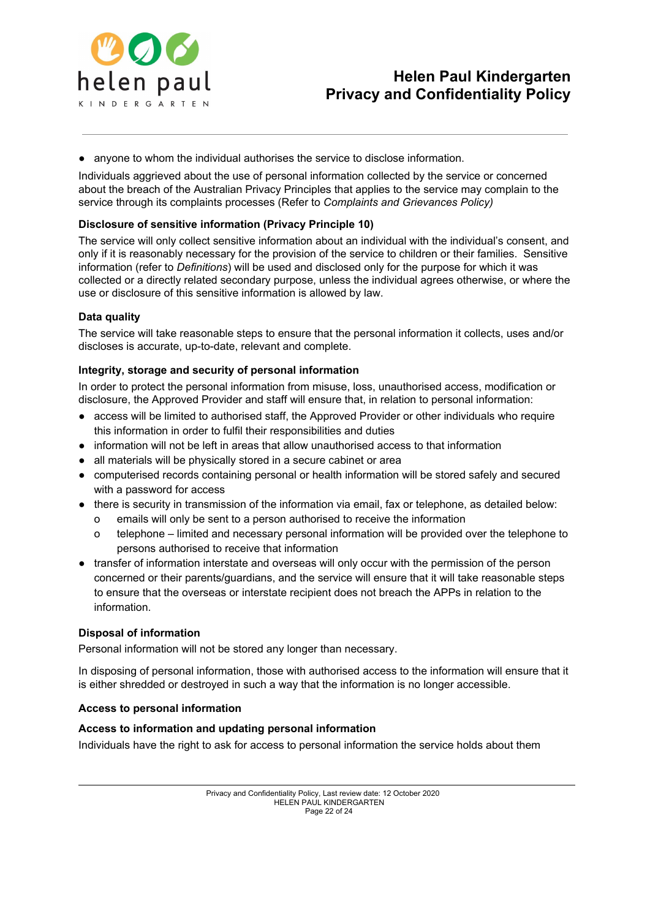

● anyone to whom the individual authorises the service to disclose information.

Individuals aggrieved about the use of personal information collected by the service or concerned about the breach of the Australian Privacy Principles that applies to the service may complain to the service through its complaints processes (Refer to *Complaints and Grievances Policy)*

## **Disclosure of sensitive information (Privacy Principle 10)**

The service will only collect sensitive information about an individual with the individual's consent, and only if it is reasonably necessary for the provision of the service to children or their families. Sensitive information (refer to *Definitions*) will be used and disclosed only for the purpose for which it was collected or a directly related secondary purpose, unless the individual agrees otherwise, or where the use or disclosure of this sensitive information is allowed by law.

## **Data quality**

The service will take reasonable steps to ensure that the personal information it collects, uses and/or discloses is accurate, up-to-date, relevant and complete.

#### **Integrity, storage and security of personal information**

In order to protect the personal information from misuse, loss, unauthorised access, modification or disclosure, the Approved Provider and staff will ensure that, in relation to personal information:

- access will be limited to authorised staff, the Approved Provider or other individuals who require this information in order to fulfil their responsibilities and duties
- information will not be left in areas that allow unauthorised access to that information
- all materials will be physically stored in a secure cabinet or area
- computerised records containing personal or health information will be stored safely and secured with a password for access
- there is security in transmission of the information via email, fax or telephone, as detailed below:
	- o emails will only be sent to a person authorised to receive the information
	- o telephone limited and necessary personal information will be provided over the telephone to persons authorised to receive that information
- transfer of information interstate and overseas will only occur with the permission of the person concerned or their parents/guardians, and the service will ensure that it will take reasonable steps to ensure that the overseas or interstate recipient does not breach the APPs in relation to the information.

#### **Disposal of information**

Personal information will not be stored any longer than necessary.

In disposing of personal information, those with authorised access to the information will ensure that it is either shredded or destroyed in such a way that the information is no longer accessible.

#### **Access to personal information**

#### **Access to information and updating personal information**

Individuals have the right to ask for access to personal information the service holds about them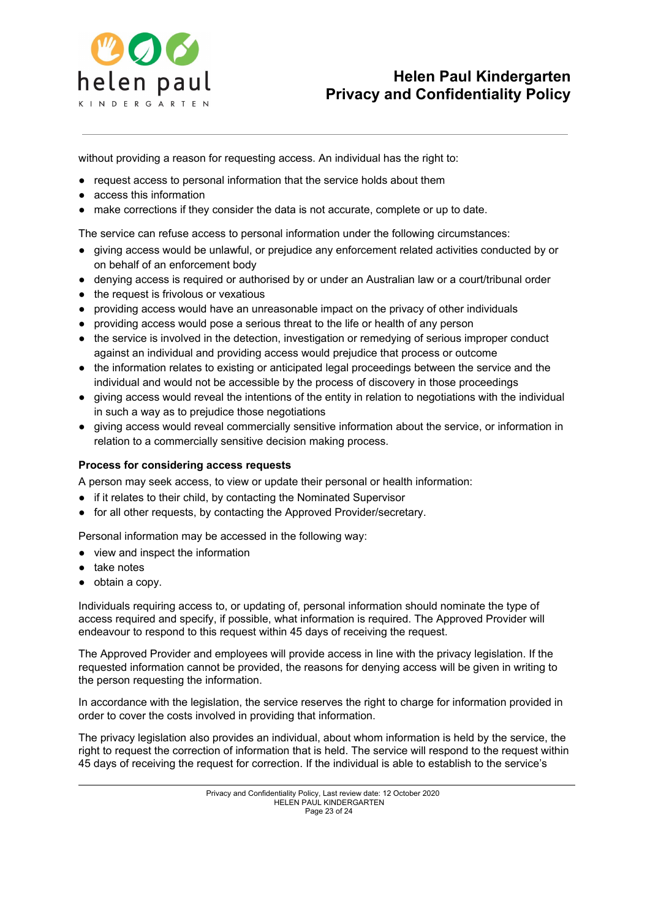

without providing a reason for requesting access. An individual has the right to:

- request access to personal information that the service holds about them
- access this information
- make corrections if they consider the data is not accurate, complete or up to date.

The service can refuse access to personal information under the following circumstances:

- giving access would be unlawful, or prejudice any enforcement related activities conducted by or on behalf of an enforcement body
- denying access is required or authorised by or under an Australian law or a court/tribunal order
- the request is frivolous or vexatious
- providing access would have an unreasonable impact on the privacy of other individuals
- providing access would pose a serious threat to the life or health of any person
- the service is involved in the detection, investigation or remedying of serious improper conduct against an individual and providing access would prejudice that process or outcome
- the information relates to existing or anticipated legal proceedings between the service and the individual and would not be accessible by the process of discovery in those proceedings
- giving access would reveal the intentions of the entity in relation to negotiations with the individual in such a way as to prejudice those negotiations
- giving access would reveal commercially sensitive information about the service, or information in relation to a commercially sensitive decision making process.

#### **Process for considering access requests**

A person may seek access, to view or update their personal or health information:

- if it relates to their child, by contacting the Nominated Supervisor
- for all other requests, by contacting the Approved Provider/secretary.

Personal information may be accessed in the following way:

- view and inspect the information
- take notes
- obtain a copy.

Individuals requiring access to, or updating of, personal information should nominate the type of access required and specify, if possible, what information is required. The Approved Provider will endeavour to respond to this request within 45 days of receiving the request.

The Approved Provider and employees will provide access in line with the privacy legislation. If the requested information cannot be provided, the reasons for denying access will be given in writing to the person requesting the information.

In accordance with the legislation, the service reserves the right to charge for information provided in order to cover the costs involved in providing that information.

The privacy legislation also provides an individual, about whom information is held by the service, the right to request the correction of information that is held. The service will respond to the request within 45 days of receiving the request for correction. If the individual is able to establish to the service's